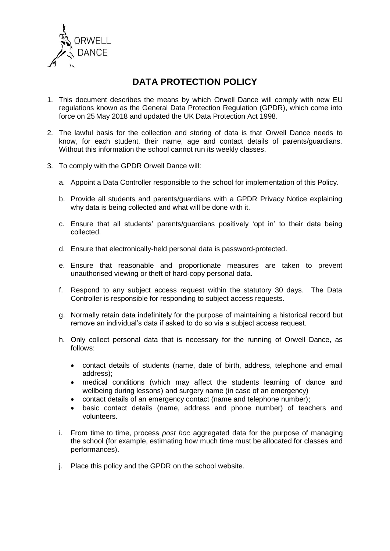

# **DATA PROTECTION POLICY**

- 1. This document describes the means by which Orwell Dance will comply with new EU regulations known as the General Data Protection Regulation (GPDR), which come into force on 25 May 2018 and updated the UK Data Protection Act 1998.
- 2. The lawful basis for the collection and storing of data is that Orwell Dance needs to know, for each student, their name, age and contact details of parents/guardians. Without this information the school cannot run its weekly classes.
- 3. To comply with the GPDR Orwell Dance will:
	- a. Appoint a Data Controller responsible to the school for implementation of this Policy.
	- b. Provide all students and parents/guardians with a GPDR Privacy Notice explaining why data is being collected and what will be done with it.
	- c. Ensure that all students' parents/guardians positively 'opt in' to their data being collected.
	- d. Ensure that electronically-held personal data is password-protected.
	- e. Ensure that reasonable and proportionate measures are taken to prevent unauthorised viewing or theft of hard-copy personal data.
	- f. Respond to any subject access request within the statutory 30 days. The Data Controller is responsible for responding to subject access requests.
	- g. Normally retain data indefinitely for the purpose of maintaining a historical record but remove an individual's data if asked to do so via a subject access request.
	- h. Only collect personal data that is necessary for the running of Orwell Dance, as follows:
		- contact details of students (name, date of birth, address, telephone and email address);
		- medical conditions (which may affect the students learning of dance and wellbeing during lessons) and surgery name (in case of an emergency)
		- contact details of an emergency contact (name and telephone number);
		- basic contact details (name, address and phone number) of teachers and volunteers.
	- i. From time to time, process *post hoc* aggregated data for the purpose of managing the school (for example, estimating how much time must be allocated for classes and performances).
	- j. Place this policy and the GPDR on the school website.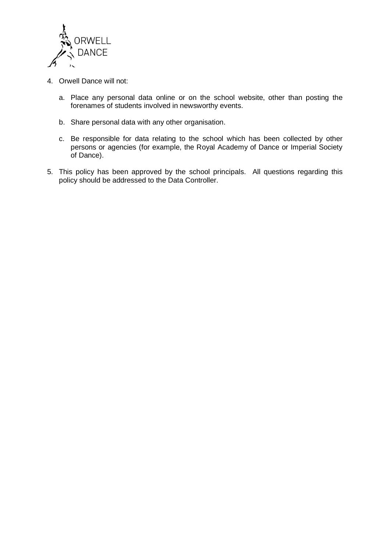

- 4. Orwell Dance will not:
	- a. Place any personal data online or on the school website, other than posting the forenames of students involved in newsworthy events.
	- b. Share personal data with any other organisation.
	- c. Be responsible for data relating to the school which has been collected by other persons or agencies (for example, the Royal Academy of Dance or Imperial Society of Dance).
- 5. This policy has been approved by the school principals. All questions regarding this policy should be addressed to the Data Controller.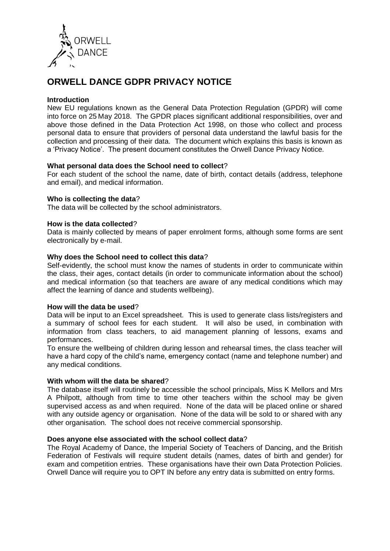

# **ORWELL DANCE GDPR PRIVACY NOTICE**

## **Introduction**

New EU regulations known as the General Data Protection Regulation (GPDR) will come into force on 25 May 2018. The GPDR places significant additional responsibilities, over and above those defined in the Data Protection Act 1998, on those who collect and process personal data to ensure that providers of personal data understand the lawful basis for the collection and processing of their data. The document which explains this basis is known as a 'Privacy Notice'. The present document constitutes the Orwell Dance Privacy Notice.

## **What personal data does the School need to collect**?

For each student of the school the name, date of birth, contact details (address, telephone and email), and medical information.

## **Who is collecting the data**?

The data will be collected by the school administrators.

## **How is the data collected**?

Data is mainly collected by means of paper enrolment forms, although some forms are sent electronically by e-mail.

## **Why does the School need to collect this data**?

Self-evidently, the school must know the names of students in order to communicate within the class, their ages, contact details (in order to communicate information about the school) and medical information (so that teachers are aware of any medical conditions which may affect the learning of dance and students wellbeing).

#### **How will the data be used**?

Data will be input to an Excel spreadsheet. This is used to generate class lists/registers and a summary of school fees for each student. It will also be used, in combination with information from class teachers, to aid management planning of lessons, exams and performances.

To ensure the wellbeing of children during lesson and rehearsal times, the class teacher will have a hard copy of the child's name, emergency contact (name and telephone number) and any medical conditions.

#### **With whom will the data be shared**?

The database itself will routinely be accessible the school principals, Miss K Mellors and Mrs A Philpott, although from time to time other teachers within the school may be given supervised access as and when required. None of the data will be placed online or shared with any outside agency or organisation. None of the data will be sold to or shared with any other organisation. The school does not receive commercial sponsorship.

#### **Does anyone else associated with the school collect data**?

The Royal Academy of Dance, the Imperial Society of Teachers of Dancing, and the British Federation of Festivals will require student details (names, dates of birth and gender) for exam and competition entries. These organisations have their own Data Protection Policies. Orwell Dance will require you to OPT IN before any entry data is submitted on entry forms.